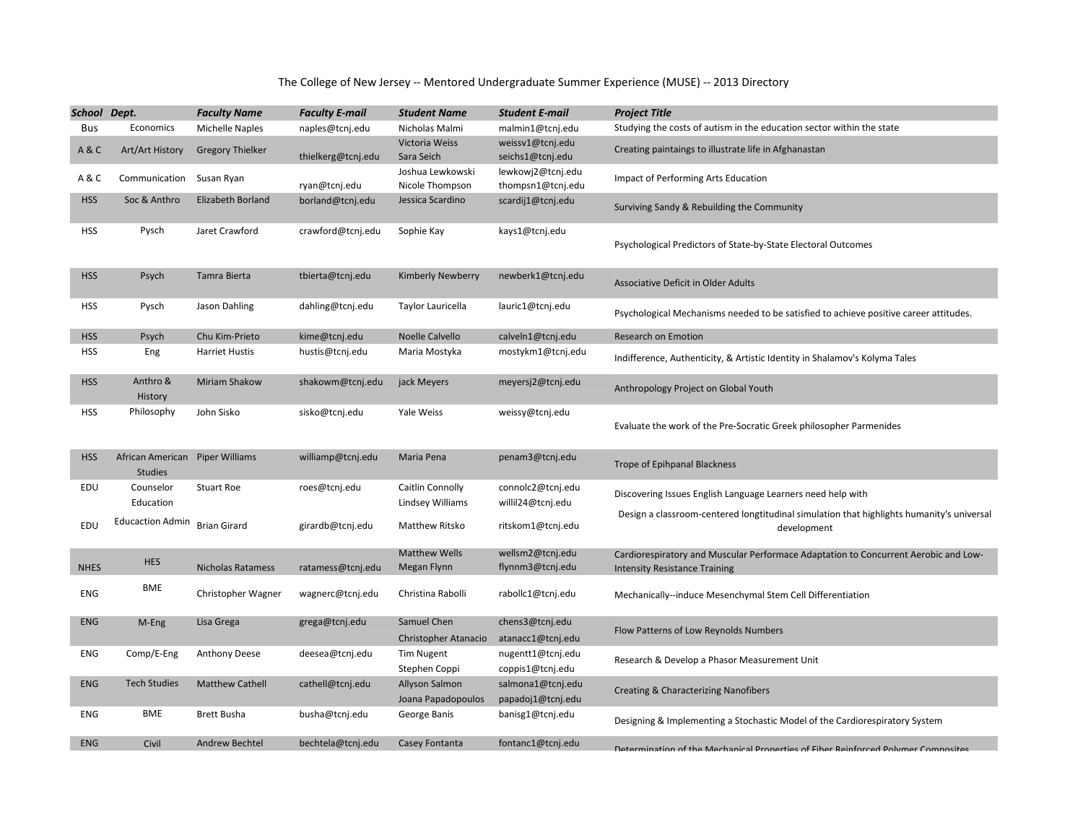## The College of New Jersey -- Mentored Undergraduate Summer Experience (MUSE) -- 2013 Directory

| School Dept. |                                                   | <b>Faculty Name</b>     | <b>Faculty E-mail</b> | <b>Student Name</b>                        | <b>Student E-mail</b>                  | <b>Project Title</b>                                                                                                        |
|--------------|---------------------------------------------------|-------------------------|-----------------------|--------------------------------------------|----------------------------------------|-----------------------------------------------------------------------------------------------------------------------------|
| <b>Bus</b>   | Economics                                         | Michelle Naples         | naples@tcnj.edu       | Nicholas Malmi                             | malmin1@tcnj.edu                       | Studying the costs of autism in the education sector within the state                                                       |
| A&C          | Art/Art History                                   | <b>Gregory Thielker</b> | thielkerg@tcnj.edu    | Victoria Weiss<br>Sara Seich               | weissv1@tcnj.edu<br>seichs1@tcnj.edu   | Creating paintaings to illustrate life in Afghanastan                                                                       |
| A&C          | Communication                                     | Susan Ryan              | ryan@tcnj.edu         | Joshua Lewkowski<br>Nicole Thompson        | lewkowj2@tcnj.edu<br>thompsn1@tcnj.edu | Impact of Performing Arts Education                                                                                         |
| <b>HSS</b>   | Soc & Anthro                                      | Elizabeth Borland       | borland@tcnj.edu      | Jessica Scardino                           | scardij1@tcnj.edu                      | Surviving Sandy & Rebuilding the Community                                                                                  |
| <b>HSS</b>   | Pysch                                             | Jaret Crawford          | crawford@tcnj.edu     | Sophie Kay                                 | kays1@tcnj.edu                         | Psychological Predictors of State-by-State Electoral Outcomes                                                               |
| <b>HSS</b>   | Psych                                             | Tamra Bierta            | tbierta@tcnj.edu      | <b>Kimberly Newberry</b>                   | newberk1@tcnj.edu                      | Associative Deficit in Older Adults                                                                                         |
| <b>HSS</b>   | Pysch                                             | Jason Dahling           | dahling@tcnj.edu      | Taylor Lauricella                          | lauric1@tcnj.edu                       | Psychological Mechanisms needed to be satisfied to achieve positive career attitudes.                                       |
| <b>HSS</b>   | Psych                                             | Chu Kim-Prieto          | kime@tcnj.edu         | Noelle Calvello                            | calveln1@tcnj.edu                      | Research on Emotion                                                                                                         |
| <b>HSS</b>   | Eng                                               | <b>Harriet Hustis</b>   | hustis@tcnj.edu       | Maria Mostyka                              | mostykm1@tcnj.edu                      | Indifference, Authenticity, & Artistic Identity in Shalamov's Kolyma Tales                                                  |
| <b>HSS</b>   | Anthro &<br>History                               | <b>Miriam Shakow</b>    | shakowm@tcnj.edu      | jack Meyers                                | meyersj2@tcnj.edu                      | Anthropology Project on Global Youth                                                                                        |
| <b>HSS</b>   | Philosophy                                        | John Sisko              | sisko@tcnj.edu        | Yale Weiss                                 | weissy@tcnj.edu                        | Evaluate the work of the Pre-Socratic Greek philosopher Parmenides                                                          |
| <b>HSS</b>   | African American Piper Williams<br><b>Studies</b> |                         | williamp@tcnj.edu     | Maria Pena                                 | penam3@tcnj.edu                        | Trope of Epihpanal Blackness                                                                                                |
| EDU          | Counselor<br>Education                            | <b>Stuart Roe</b>       | roes@tcnj.edu         | Caitlin Connolly<br>Lindsey Williams       | connolc2@tcnj.edu<br>willil24@tcnj.edu | Discovering Issues English Language Learners need help with                                                                 |
| EDU          | <b>Educaction Admin</b>                           | <b>Brian Girard</b>     | girardb@tcnj.edu      | Matthew Ritsko                             | ritskom1@tcnj.edu                      | Design a classroom-centered longtitudinal simulation that highlights humanity's universal<br>development                    |
| <b>NHES</b>  | <b>HES</b>                                        | Nicholas Ratamess       | ratamess@tcnj.edu     | <b>Matthew Wells</b><br>Megan Flynn        | wellsm2@tcnj.edu<br>flynnm3@tcnj.edu   | Cardiorespiratory and Muscular Performace Adaptation to Concurrent Aerobic and Low-<br><b>Intensity Resistance Training</b> |
| ENG          | BME                                               | Christopher Wagner      | wagnerc@tcnj.edu      | Christina Rabolli                          | rabollc1@tcnj.edu                      | Mechanically--induce Mesenchymal Stem Cell Differentiation                                                                  |
| ENG          | M-Eng                                             | Lisa Grega              | grega@tcnj.edu        | Samuel Chen<br><b>Christopher Atanacio</b> | chens3@tcnj.edu<br>atanacc1@tcnj.edu   | Flow Patterns of Low Reynolds Numbers                                                                                       |
| ENG          | Comp/E-Eng                                        | Anthony Deese           | deesea@tcnj.edu       | Tim Nugent<br>Stephen Coppi                | nugentt1@tcnj.edu<br>coppis1@tcnj.edu  | Research & Develop a Phasor Measurement Unit                                                                                |
| ENG          | <b>Tech Studies</b>                               | <b>Matthew Cathell</b>  | cathell@tcnj.edu      | Allyson Salmon<br>Joana Papadopoulos       | salmona1@tcnj.edu<br>papadoj1@tcnj.edu | <b>Creating &amp; Characterizing Nanofibers</b>                                                                             |
| ENG          | BME                                               | Brett Busha             | busha@tcnj.edu        | George Banis                               | banisg1@tcnj.edu                       | Designing & Implementing a Stochastic Model of the Cardiorespiratory System                                                 |
| ENG          | Civil                                             | Andrew Bechtel          | bechtela@tcnj.edu     | Casey Fontanta                             | fontanc1@tcnj.edu                      | Determination of the Mechanical Properties of Fiber Reinforced Polymer Composites                                           |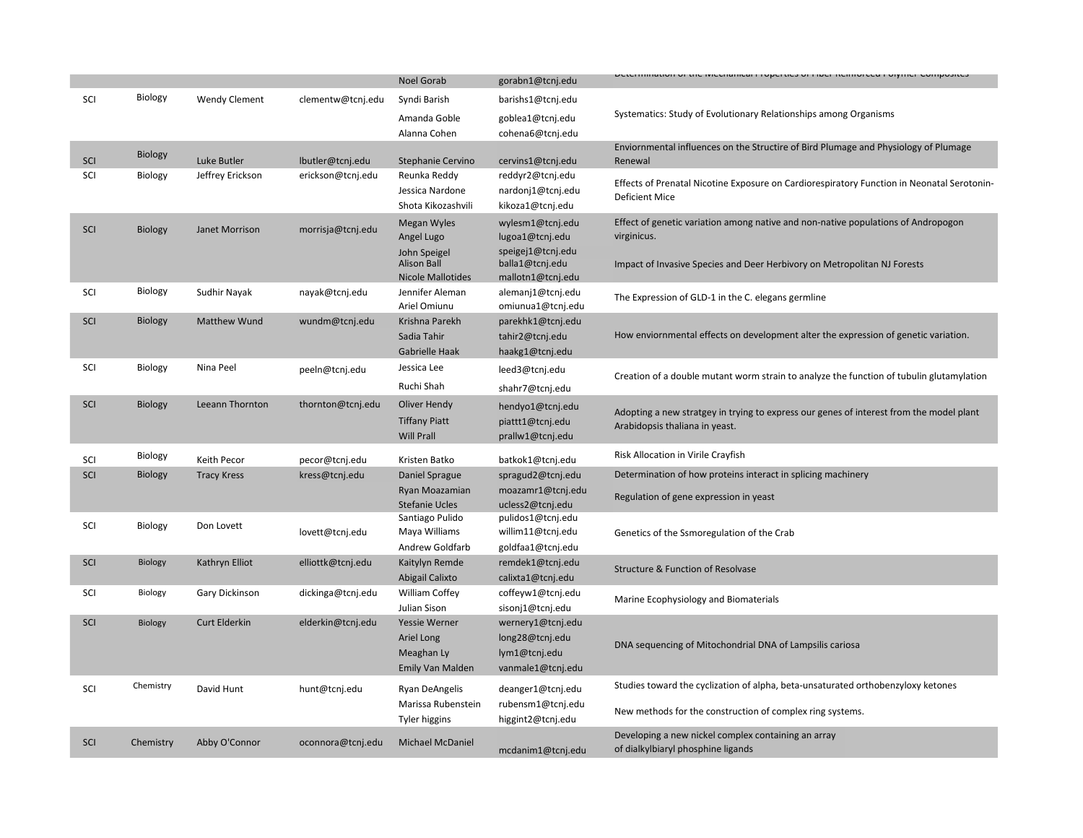|     |           |                      |                   |                                    |                                      | בתבנותותמוסת סדמוכ ואוכטומותכמו דוסקטומכז סדרוגט וזכותוסוטכט בסוןותכר כסתוקסזונט                                          |
|-----|-----------|----------------------|-------------------|------------------------------------|--------------------------------------|---------------------------------------------------------------------------------------------------------------------------|
|     |           |                      |                   | <b>Noel Gorab</b>                  | gorabn1@tcnj.edu                     |                                                                                                                           |
| SCI | Biology   | <b>Wendy Clement</b> | clementw@tcnj.edu | Syndi Barish                       | barishs1@tcnj.edu                    |                                                                                                                           |
|     |           |                      |                   | Amanda Goble                       | goblea1@tcnj.edu                     | Systematics: Study of Evolutionary Relationships among Organisms                                                          |
|     |           |                      |                   | Alanna Cohen                       | cohena6@tcnj.edu                     |                                                                                                                           |
|     | Biology   |                      |                   |                                    |                                      | Enviornmental influences on the Structire of Bird Plumage and Physiology of Plumage                                       |
| SCI |           | Luke Butler          | lbutler@tcnj.edu  | Stephanie Cervino                  | cervins1@tcnj.edu                    | Renewal                                                                                                                   |
| SCI | Biology   | Jeffrey Erickson     | erickson@tcnj.edu | Reunka Reddy                       | reddyr2@tcnj.edu                     | Effects of Prenatal Nicotine Exposure on Cardiorespiratory Function in Neonatal Serotonin-                                |
|     |           |                      |                   | Jessica Nardone                    | nardonj1@tcnj.edu                    | <b>Deficient Mice</b>                                                                                                     |
|     |           |                      |                   | Shota Kikozashvili                 | kikoza1@tcnj.edu                     |                                                                                                                           |
| SCI | Biology   | Janet Morrison       | morrisja@tcnj.edu | <b>Megan Wyles</b>                 | wylesm1@tcnj.edu                     | Effect of genetic variation among native and non-native populations of Andropogon                                         |
|     |           |                      |                   | Angel Lugo                         | lugoa1@tcnj.edu                      | virginicus.                                                                                                               |
|     |           |                      |                   | John Speigel<br><b>Alison Ball</b> | speigej1@tcnj.edu<br>balla1@tcnj.edu | Impact of Invasive Species and Deer Herbivory on Metropolitan NJ Forests                                                  |
|     |           |                      |                   | <b>Nicole Mallotides</b>           | mallotn1@tcnj.edu                    |                                                                                                                           |
| SCI | Biology   | Sudhir Nayak         | nayak@tcnj.edu    | Jennifer Aleman                    | alemanj1@tcnj.edu                    |                                                                                                                           |
|     |           |                      |                   | Ariel Omiunu                       | omiunua1@tcnj.edu                    | The Expression of GLD-1 in the C. elegans germline                                                                        |
| SCI | Biology   | Matthew Wund         | wundm@tcnj.edu    | Krishna Parekh                     | parekhk1@tcnj.edu                    |                                                                                                                           |
|     |           |                      |                   | Sadia Tahir                        | tahir2@tcnj.edu                      | How enviornmental effects on development alter the expression of genetic variation.                                       |
|     |           |                      |                   | Gabrielle Haak                     | haakg1@tcnj.edu                      |                                                                                                                           |
| SCI | Biology   | Nina Peel            | peeln@tcnj.edu    | Jessica Lee                        | leed3@tcnj.edu                       | Creation of a double mutant worm strain to analyze the function of tubulin glutamylation                                  |
|     |           |                      |                   | Ruchi Shah                         | shahr7@tcnj.edu                      |                                                                                                                           |
| SCI | Biology   | Leeann Thornton      | thornton@tcnj.edu | Oliver Hendy                       | hendyo1@tcnj.edu                     |                                                                                                                           |
|     |           |                      |                   | <b>Tiffany Piatt</b>               | piattt1@tcnj.edu                     | Adopting a new stratgey in trying to express our genes of interest from the model plant<br>Arabidopsis thaliana in yeast. |
|     |           |                      |                   | <b>Will Prall</b>                  | prallw1@tcnj.edu                     |                                                                                                                           |
| SCI | Biology   | Keith Pecor          | pecor@tcnj.edu    | Kristen Batko                      | batkok1@tcnj.edu                     | Risk Allocation in Virile Crayfish                                                                                        |
| SCI | Biology   | <b>Tracy Kress</b>   | kress@tcnj.edu    | Daniel Sprague                     | spragud2@tcnj.edu                    | Determination of how proteins interact in splicing machinery                                                              |
|     |           |                      |                   | Ryan Moazamian                     | moazamr1@tcnj.edu                    | Regulation of gene expression in yeast                                                                                    |
|     |           |                      |                   | <b>Stefanie Ucles</b>              | ucless2@tcnj.edu                     |                                                                                                                           |
| SCI | Biology   | Don Lovett           | lovett@tcnj.edu   | Santiago Pulido                    | pulidos1@tcnj.edu                    |                                                                                                                           |
|     |           |                      |                   | Maya Williams                      | willim11@tcnj.edu                    | Genetics of the Ssmoregulation of the Crab                                                                                |
|     |           |                      |                   | Andrew Goldfarb                    | goldfaa1@tcnj.edu                    |                                                                                                                           |
| SCI | Biology   | Kathryn Elliot       | elliottk@tcnj.edu | Kaitylyn Remde                     | remdek1@tcnj.edu                     | Structure & Function of Resolvase                                                                                         |
|     |           |                      |                   | Abigail Calixto                    | calixta1@tcnj.edu                    |                                                                                                                           |
| SCI | Biology   | Gary Dickinson       | dickinga@tcnj.edu | William Coffey                     | coffeyw1@tcnj.edu                    | Marine Ecophysiology and Biomaterials                                                                                     |
|     |           |                      |                   | Julian Sison                       | sisonj1@tcnj.edu                     |                                                                                                                           |
| SCI | Biology   | Curt Elderkin        | elderkin@tcnj.edu | <b>Yessie Werner</b>               | wernery1@tcnj.edu                    |                                                                                                                           |
|     |           |                      |                   | Ariel Long<br>Meaghan Ly           | long28@tcnj.edu<br>lym1@tcnj.edu     | DNA sequencing of Mitochondrial DNA of Lampsilis cariosa                                                                  |
|     |           |                      |                   | Emily Van Malden                   |                                      |                                                                                                                           |
|     |           |                      |                   |                                    | vanmale1@tcnj.edu                    |                                                                                                                           |
| SCI | Chemistry | David Hunt           | hunt@tcnj.edu     | Ryan DeAngelis                     | deanger1@tcnj.edu                    | Studies toward the cyclization of alpha, beta-unsaturated orthobenzyloxy ketones                                          |
|     |           |                      |                   | Marissa Rubenstein                 | rubensm1@tcnj.edu                    | New methods for the construction of complex ring systems.                                                                 |
|     |           |                      |                   | Tyler higgins                      | higgint2@tcnj.edu                    |                                                                                                                           |
| SCI | Chemistry | Abby O'Connor        | oconnora@tcnj.edu | Michael McDaniel                   |                                      | Developing a new nickel complex containing an array                                                                       |
|     |           |                      |                   |                                    | mcdanim1@tcnj.edu                    | of dialkylbiaryl phosphine ligands                                                                                        |